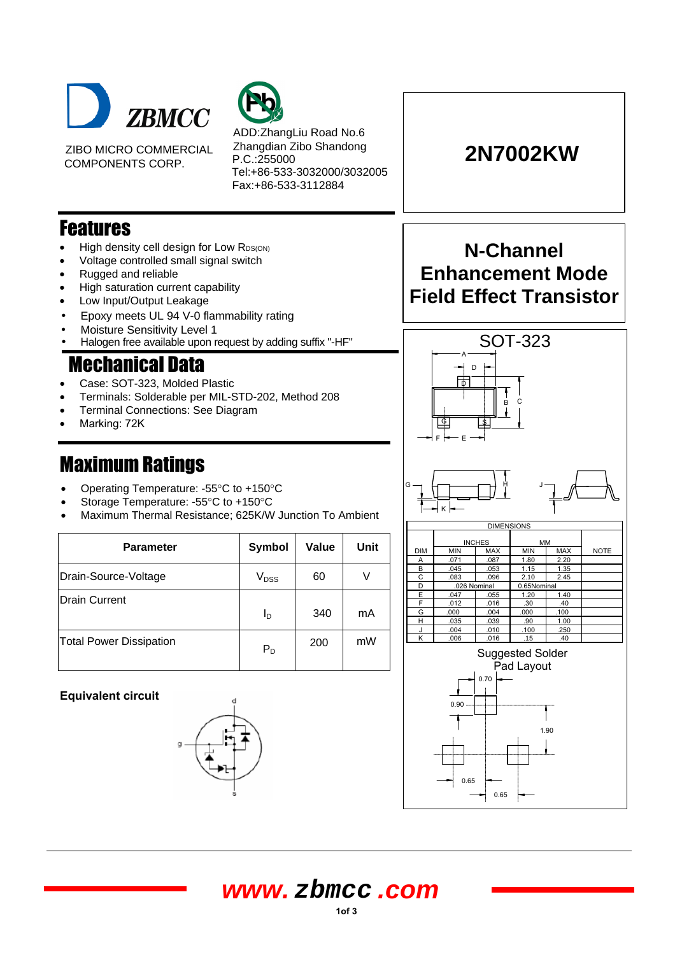

ZIBO MICRO COMMERCIAL COMPONENTS CORP.



ADD:ZhangLiu Road No.6 Zhangdian Zibo Shandong P.C.:255000 Tel:+86-533-3032000/3032005 Fax:+86-533-3112884

# **2N7002KW**

### **Features**

- High density cell design for Low RDS(ON)
- Voltage controlled small signal switch
- Rugged and reliable
- High saturation current capability
- Low Input/Output Leakage
- Epoxy meets UL 94 V-0 flammability rating
- Moisture Sensitivity Level 1
- Halogen free available upon request by adding suffix "-HF"

## **Mechanical Data**

- Case: SOT-323, Molded Plastic
- Terminals: Solderable per MIL-STD-202, Method 208
- Terminal Connections: See Diagram
- Marking: 72K

- Operating Temperature: -55°C to +150°C
- Storage Temperature: -55°C to +150°C
- Maximum Thermal Resistance; 625K/W Junction To Ambient

| <b>Parameter</b>               | Symbol           | <b>Value</b> | Unit |
|--------------------------------|------------------|--------------|------|
| Drain-Source-Voltage           | V <sub>DSS</sub> | 60           |      |
| <b>Drain Current</b>           | l <sub>D</sub>   | 340          | mA   |
| <b>Total Power Dissipation</b> | $P_D$            | 200          | mW   |

### **Equivalent circuit**



# **N-Channel Enhancement Mode Field Effect Transistor**







### **1of 3 www. zbmcc .com**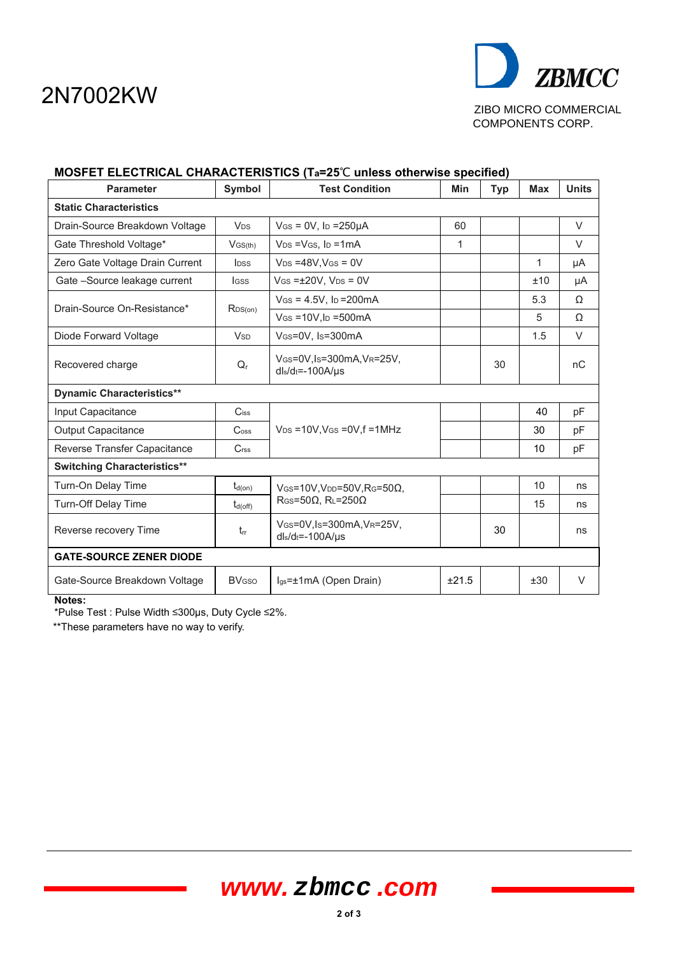# 2N7002KW



| MUSFET ELECTRICAL CHARACTERISTICS (Ta=Z5 C unless otherwise specified) |                             |                                                     |       |            |              |              |  |
|------------------------------------------------------------------------|-----------------------------|-----------------------------------------------------|-------|------------|--------------|--------------|--|
| <b>Parameter</b>                                                       | Symbol                      | <b>Test Condition</b>                               | Min   | <b>Typ</b> | <b>Max</b>   | <b>Units</b> |  |
| <b>Static Characteristics</b>                                          |                             |                                                     |       |            |              |              |  |
| Drain-Source Breakdown Voltage                                         | <b>V<sub>DS</sub></b>       | $V$ GS = 0V, Ip = 250 $\mu$ A                       | 60    |            |              | $\vee$       |  |
| Gate Threshold Voltage*                                                | $V$ GS(th)                  | $V_{DS} = V_{GS}$ , $I_D = 1mA$                     | 1     |            |              | $\vee$       |  |
| Zero Gate Voltage Drain Current                                        | <b>l</b> <sub>pss</sub>     | $V_{DS} = 48V$ , $V_{GS} = 0V$                      |       |            | $\mathbf{1}$ | μA           |  |
| Gate -Source leakage current                                           | <b>I</b> GSS                | $V$ GS = $\pm$ 20V, V <sub>DS</sub> = 0V            |       |            | ±10          | μA           |  |
| Drain-Source On-Resistance*                                            | R <sub>DS(on)</sub>         | $V$ GS = 4.5V, lp = 200 mA                          |       |            | 5.3          | Ω            |  |
|                                                                        |                             | $V$ GS = 10V.Ip = 500 mA                            |       |            | 5            | Ω            |  |
| Diode Forward Voltage                                                  | <b>V<sub>SD</sub></b>       | VGS=0V, Is=300mA                                    |       |            | 1.5          | $\vee$       |  |
| Recovered charge                                                       | $Q_{r}$                     | VGS=0V,Is=300mA,VR=25V,<br>$dl_s/d_t = -100A/\mu s$ |       | 30         |              | nC           |  |
| <b>Dynamic Characteristics**</b>                                       |                             |                                                     |       |            |              |              |  |
| Input Capacitance                                                      | $C$ iss                     |                                                     |       |            | 40           | pF           |  |
| <b>Output Capacitance</b>                                              | $\mathsf{C}$ <sub>oss</sub> | $V_{DS}$ =10V, VGs = 0V, f = 1MHz                   |       |            | 30           | pF           |  |
| Reverse Transfer Capacitance                                           | $C$ <sub>rss</sub>          |                                                     |       |            | 10           | pF           |  |
| <b>Switching Characteristics**</b>                                     |                             |                                                     |       |            |              |              |  |
| Turn-On Delay Time                                                     | $t_{d(0n)}$                 | $V$ GS=10V, VDD=50V, RG=50 $\Omega$ ,               |       |            | 10           | ns           |  |
| <b>Turn-Off Delay Time</b>                                             | $t_{d(\text{off})}$         | $R$ GS=50 $\Omega$ , RL=250 $\Omega$                |       |            | 15           | ns           |  |
| Reverse recovery Time                                                  | $t_{rr}$                    | VGS=0V,Is=300mA,VR=25V,<br>$dl_s/d_t = -100A/\mu s$ |       | 30         |              | ns           |  |
| <b>GATE-SOURCE ZENER DIODE</b>                                         |                             |                                                     |       |            |              |              |  |
| Gate-Source Breakdown Voltage                                          | <b>BV<sub>GSO</sub></b>     | $I_{gs} = \pm 1 \text{mA}$ (Open Drain)             | ±21.5 |            | ±30          | V            |  |
| Notes:                                                                 |                             |                                                     |       |            |              |              |  |

### **MOSFET ELECTRICAL CHARACTERISTICS (Ta=25**℃ **unless otherwise specified)**

\*Pulse Test : Pulse Width ≤300µs, Duty Cycle ≤2%.

\*\*These parameters have no way to verify.

# **www. zbmcc .com**